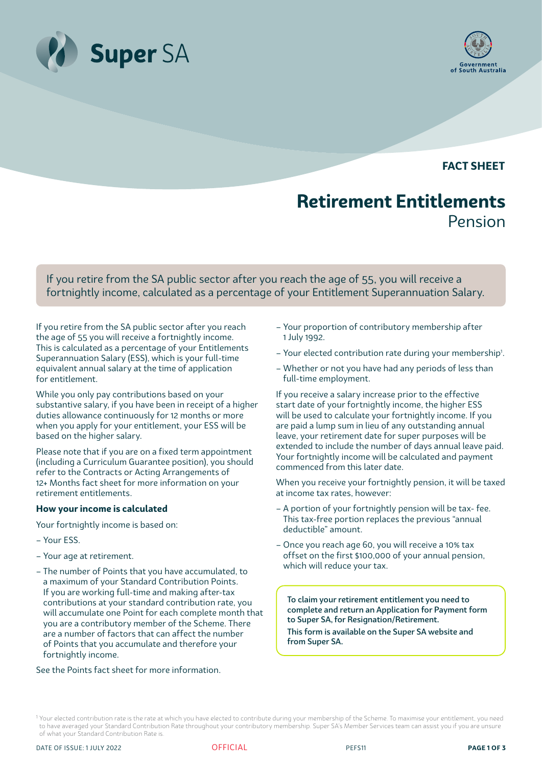



**FACT SHEET**

# **Retirement Entitlements** Pension

If you retire from the SA public sector after you reach the age of 55, you will receive a fortnightly income, calculated as a percentage of your Entitlement Superannuation Salary.

If you retire from the SA public sector after you reach the age of 55 you will receive a fortnightly income. This is calculated as a percentage of your Entitlements Superannuation Salary (ESS), which is your full-time equivalent annual salary at the time of application for entitlement.

While you only pay contributions based on your substantive salary, if you have been in receipt of a higher duties allowance continuously for 12 months or more when you apply for your entitlement, your ESS will be based on the higher salary.

Please note that if you are on a fixed term appointment (including a Curriculum Guarantee position), you should refer to the Contracts or Acting Arrangements of 12+ Months fact sheet for more information on your retirement entitlements.

#### **How your income is calculated**

Your fortnightly income is based on:

- Your ESS.
- Your age at retirement.
- The number of Points that you have accumulated, to a maximum of your Standard Contribution Points. If you are working full-time and making after-tax contributions at your standard contribution rate, you will accumulate one Point for each complete month that you are a contributory member of the Scheme. There are a number of factors that can affect the number of Points that you accumulate and therefore your fortnightly income.

See the [Points](http://www.supersa.sa.gov.au/pdf/Factsheets/pnpoints.pdf) fact sheet for more information.

- Your proportion of contributory membership after 1 July 1992.
- Your elected contribution rate during your membership<sup>1</sup>.
- Whether or not you have had any periods of less than full-time employment.

If you receive a salary increase prior to the effective start date of your fortnightly income, the higher ESS will be used to calculate your fortnightly income. If you are paid a lump sum in lieu of any outstanding annual leave, your retirement date for super purposes will be extended to include the number of days annual leave paid. Your fortnightly income will be calculated and payment commenced from this later date.

When you receive your fortnightly pension, it will be taxed at income tax rates, however:

- A portion of your fortnightly pension will be tax- fee. This tax-free portion replaces the previous "annual deductible" amount.
- Once you reach age 60, you will receive a 10% tax offset on the first \$100,000 of your annual pension, which will reduce your tax.

To claim your retirement entitlement you need to complete and return an Application for Payment form to Super SA, for Resignation/Retirement.

This form is available on the Super SA website and from Super SA.



<sup>&</sup>lt;sup>1</sup> Your elected contribution rate is the rate at which you have elected to contribute during your membership of the Scheme. To maximise your entitlement, you need to have averaged your Standard Contribution Rate throughout your contributory membership. Super SA's Member Services team can assist you if you are unsure of what your Standard Contribution Rate is.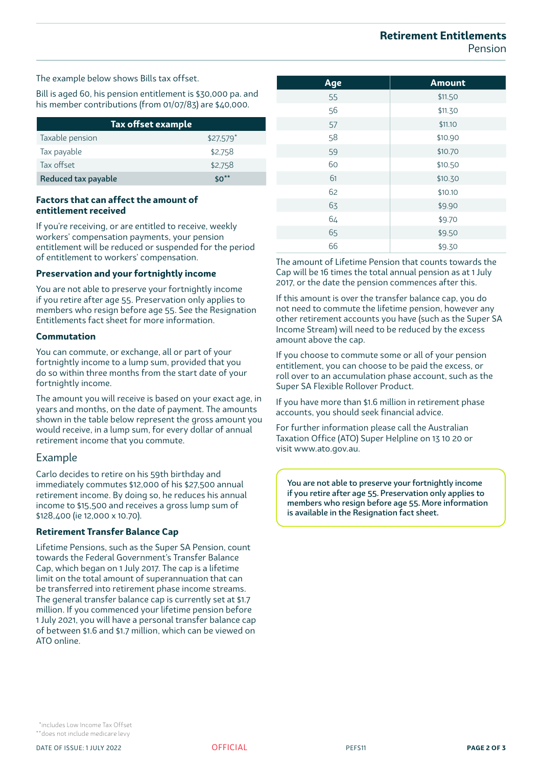## **Retirement Entitlements**  Pension

The example below shows Bills tax offset.

Bill is aged 60, his pension entitlement is \$30,000 pa. and his member contributions (from 01/07/83) are \$40,000.

| Tax offset example' |             |
|---------------------|-------------|
| Taxable pension     | $$27.579$ * |
| Tax payable         | \$2,758     |
| Tax offset          | \$2,758     |
| Reduced tax payable | $50**$      |

## **Factors that can affect the amount of entitlement received**

If you're receiving, or are entitled to receive, weekly workers' compensation payments, your pension entitlement will be reduced or suspended for the period of entitlement to workers' compensation.

## **Preservation and your fortnightly income**

You are not able to preserve your fortnightly income if you retire after age 55. Preservation only applies to members who resign before age 55. See the Resignation Entitlements fact sheet for more information.

#### **Commutation**

You can commute, or exchange, all or part of your fortnightly income to a lump sum, provided that you do so within three months from the start date of your fortnightly income.

The amount you will receive is based on your exact age, in years and months, on the date of payment. The amounts shown in the table below represent the gross amount you would receive, in a lump sum, for every dollar of annual retirement income that you commute.

## Example

Carlo decides to retire on his 59th birthday and immediately commutes \$12,000 of his \$27,500 annual retirement income. By doing so, he reduces his annual income to \$15,500 and receives a gross lump sum of \$128,400 (ie 12,000 x 10.70).

## **Retirement Transfer Balance Cap**

Lifetime Pensions, such as the Super SA Pension, count towards the Federal Government's Transfer Balance Cap, which began on 1 July 2017. The cap is a lifetime limit on the total amount of superannuation that can be transferred into retirement phase income streams. The general transfer balance cap is currently set at \$1.7 million. If you commenced your lifetime pension before 1 July 2021, you will have a personal transfer balance cap of between \$1.6 and \$1.7 million, which can be viewed on ATO online.

| Age | <b>Amount</b> |
|-----|---------------|
| 55  | \$11.50       |
| 56  | \$11.30       |
| 57  | \$11.10       |
| 58  | \$10.90       |
| 59  | \$10.70       |
| 60  | \$10.50       |
| 61  | \$10.30       |
| 62  | \$10.10       |
| 63  | \$9.90        |
| 64  | \$9.70        |
| 65  | \$9.50        |
| 66  | \$9.30        |

The amount of Lifetime Pension that counts towards the Cap will be 16 times the total annual pension as at 1 July 2017, or the date the pension commences after this.

If this amount is over the transfer balance cap, you do not need to commute the lifetime pension, however any other retirement accounts you have (such as the Super SA Income Stream) will need to be reduced by the excess amount above the cap.

If you choose to commute some or all of your pension entitlement, you can choose to be paid the excess, or roll over to an accumulation phase account, such as the Super SA Flexible Rollover Product.

If you have more than \$1.6 million in retirement phase accounts, you should seek financial advice.

For further information please call the Australian Taxation Office (ATO) Super Helpline on 13 10 20 or visit www.ato.gov.au.

You are not able to preserve your fortnightly income if you retire after age 55. Preservation only applies to members who resign before age 55. More information is available in the Resignation fact sheet.

 \*includes Low Income Tax Offset \*\*does not include medicare levy